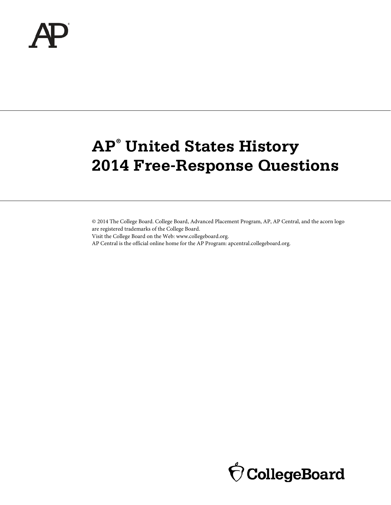# **AP ® United States History 2014 Free-Response Questions**

© 2014 The College Board. College Board, Advanced Placement Program, AP, AP Central, and the acorn logo are registered trademarks of the College Board.

Visit the College Board on the Web: www.collegeboard.org.

AP Central is the official online home for the AP Program: apcentral.collegeboard.org.

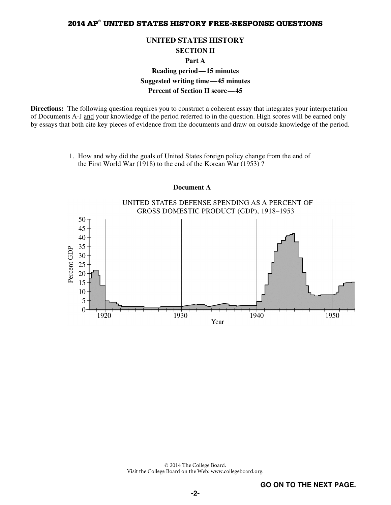# **UNITED STATES HISTORY SECTION II Part A Reading period—15 minutes Suggested writing time—45 minutes Percent of Section II score—45**

**Directions:** The following question requires you to construct a coherent essay that integrates your interpretation of Documents A-J and your knowledge of the period referred to in the question. High scores will be earned only by essays that both cite key pieces of evidence from the documents and draw on outside knowledge of the period.

> 1. How and why did the goals of United States foreign policy change from the end of the First World War (1918) to the end of the Korean War (1953) ?



#### **Document A**

UNITED STATES DEFENSE SPENDING AS A PERCENT OF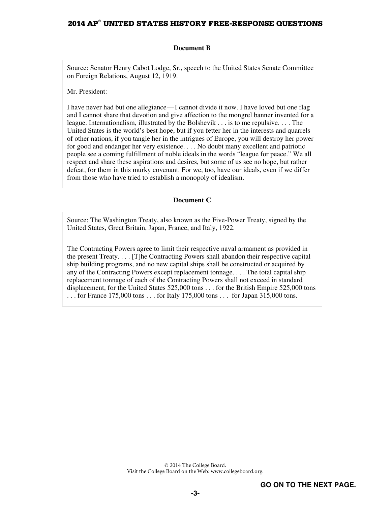#### **Document B**

Source: Senator Henry Cabot Lodge, Sr., speech to the United States Senate Committee on Foreign Relations, August 12, 1919.

Mr. President:

I have never had but one allegiance—I cannot divide it now. I have loved but one flag and I cannot share that devotion and give affection to the mongrel banner invented for a league. Internationalism, illustrated by the Bolshevik . . . is to me repulsive. . . . The United States is the world's best hope, but if you fetter her in the interests and quarrels of other nations, if you tangle her in the intrigues of Europe, you will destroy her power for good and endanger her very existence. . . . No doubt many excellent and patriotic people see a coming fulfillment of noble ideals in the words "league for peace." We all respect and share these aspirations and desires, but some of us see no hope, but rather defeat, for them in this murky covenant. For we, too, have our ideals, even if we differ from those who have tried to establish a monopoly of idealism.

# **Document C**

Source: The Washington Treaty, also known as the Five-Power Treaty, signed by the United States, Great Britain, Japan, France, and Italy, 1922.

The Contracting Powers agree to limit their respective naval armament as provided in the present Treaty. . . . [T]he Contracting Powers shall abandon their respective capital ship building programs, and no new capital ships shall be constructed or acquired by any of the Contracting Powers except replacement tonnage. . . . The total capital ship replacement tonnage of each of the Contracting Powers shall not exceed in standard displacement, for the United States 525,000 tons . . . for the British Empire 525,000 tons . . . for France 175,000 tons . . . for Italy 175,000 tons . . . for Japan 315,000 tons.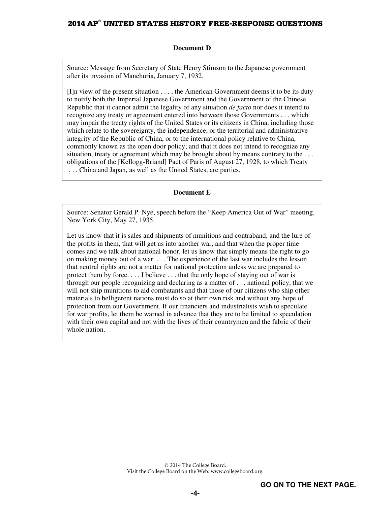#### **Document D**

Source: Message from Secretary of State Henry Stimson to the Japanese government after its invasion of Manchuria, January 7, 1932.

[I]n view of the present situation . . . , the American Government deems it to be its duty to notify both the Imperial Japanese Government and the Government of the Chinese Republic that it cannot admit the legality of any situation *de facto* nor does it intend to recognize any treaty or agreement entered into between those Governments . . . which may impair the treaty rights of the United States or its citizens in China, including those which relate to the sovereignty, the independence, or the territorial and administrative integrity of the Republic of China, or to the international policy relative to China, commonly known as the open door policy; and that it does not intend to recognize any situation, treaty or agreement which may be brought about by means contrary to the . . . obligations of the [Kellogg-Briand] Pact of Paris of August 27, 1928, to which Treaty . . . China and Japan, as well as the United States, are parties.

#### **Document E**

Source: Senator Gerald P. Nye, speech before the "Keep America Out of War" meeting, New York City, May 27, 1935.

Let us know that it is sales and shipments of munitions and contraband, and the lure of the profits in them, that will get us into another war, and that when the proper time comes and we talk about national honor, let us know that simply means the right to go on making money out of a war. . . . The experience of the last war includes the lesson that neutral rights are not a matter for national protection unless we are prepared to protect them by force. . . . I believe . . . that the only hope of staying out of war is through our people recognizing and declaring as a matter of . . . national policy, that we will not ship munitions to aid combatants and that those of our citizens who ship other materials to belligerent nations must do so at their own risk and without any hope of protection from our Government. If our financiers and industrialists wish to speculate for war profits, let them be warned in advance that they are to be limited to speculation with their own capital and not with the lives of their countrymen and the fabric of their whole nation.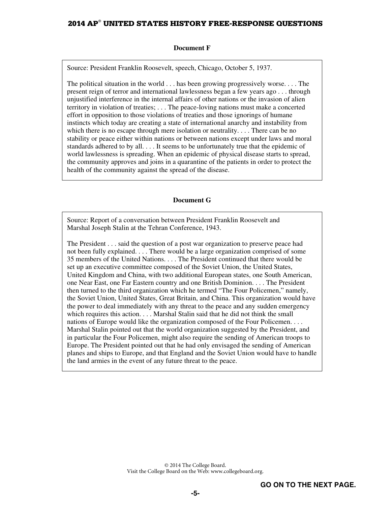#### **Document F**

Source: President Franklin Roosevelt, speech, Chicago, October 5, 1937.

The political situation in the world . . . has been growing progressively worse. . . . The present reign of terror and international lawlessness began a few years ago . . . through unjustified interference in the internal affairs of other nations or the invasion of alien territory in violation of treaties; . . . The peace-loving nations must make a concerted effort in opposition to those violations of treaties and those ignorings of humane instincts which today are creating a state of international anarchy and instability from which there is no escape through mere isolation or neutrality.... There can be no stability or peace either within nations or between nations except under laws and moral standards adhered to by all. . . . It seems to be unfortunately true that the epidemic of world lawlessness is spreading. When an epidemic of physical disease starts to spread, the community approves and joins in a quarantine of the patients in order to protect the health of the community against the spread of the disease.

# **Document G**

Source: Report of a conversation between President Franklin Roosevelt and Marshal Joseph Stalin at the Tehran Conference, 1943.

The President . . . said the question of a post war organization to preserve peace had not been fully explained. . . . There would be a large organization comprised of some 35 members of the United Nations. . . . The President continued that there would be set up an executive committee composed of the Soviet Union, the United States, United Kingdom and China, with two additional European states, one South American, one Near East, one Far Eastern country and one British Dominion. . . . The President then turned to the third organization which he termed "The Four Policemen," namely, the Soviet Union, United States, Great Britain, and China. This organization would have the power to deal immediately with any threat to the peace and any sudden emergency which requires this action. . . . Marshal Stalin said that he did not think the small nations of Europe would like the organization composed of the Four Policemen. . . . Marshal Stalin pointed out that the world organization suggested by the President, and in particular the Four Policemen, might also require the sending of American troops to Europe. The President pointed out that he had only envisaged the sending of American planes and ships to Europe, and that England and the Soviet Union would have to handle the land armies in the event of any future threat to the peace.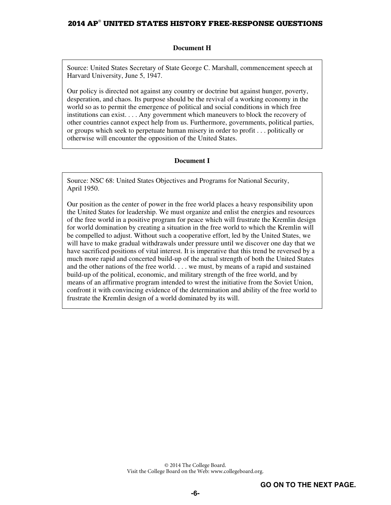#### **Document H**

Source: United States Secretary of State George C. Marshall, commencement speech at Harvard University, June 5, 1947.

Our policy is directed not against any country or doctrine but against hunger, poverty, desperation, and chaos. Its purpose should be the revival of a working economy in the world so as to permit the emergence of political and social conditions in which free institutions can exist. . . . Any government which maneuvers to block the recovery of other countries cannot expect help from us. Furthermore, governments, political parties, or groups which seek to perpetuate human misery in order to profit . . . politically or otherwise will encounter the opposition of the United States.

#### **Document I**

Source: NSC 68: United States Objectives and Programs for National Security, April 1950.

Our position as the center of power in the free world places a heavy responsibility upon the United States for leadership. We must organize and enlist the energies and resources of the free world in a positive program for peace which will frustrate the Kremlin design for world domination by creating a situation in the free world to which the Kremlin will be compelled to adjust. Without such a cooperative effort, led by the United States, we will have to make gradual withdrawals under pressure until we discover one day that we have sacrificed positions of vital interest. It is imperative that this trend be reversed by a much more rapid and concerted build-up of the actual strength of both the United States and the other nations of the free world. . . . we must, by means of a rapid and sustained build-up of the political, economic, and military strength of the free world, and by means of an affirmative program intended to wrest the initiative from the Soviet Union, confront it with convincing evidence of the determination and ability of the free world to frustrate the Kremlin design of a world dominated by its will.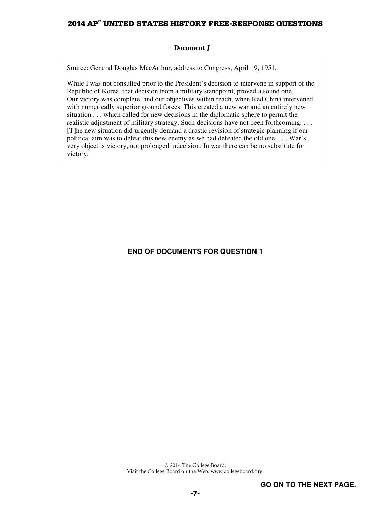#### **Document J**

Source: General Douglas MacArthur, address to Congress, April 19, 1951.

While I was not consulted prior to the President's decision to intervene in support of the Republic of Korea, that decision from a military standpoint, proved a sound one. . . . Our victory was complete, and our objectives within reach, when Red China intervened with numerically superior ground forces. This created a new war and an entirely new situation . . . which called for new decisions in the diplomatic sphere to permit the realistic adjustment of military strategy. Such decisions have not been forthcoming. . . . [T]he new situation did urgently demand a drastic revision of strategic planning if our political aim was to defeat this new enemy as we had defeated the old one. . . . War's very object is victory, not prolonged indecision. In war there can be no substitute for victory.

### **END OF DOCUMENTS FOR QUESTION 1**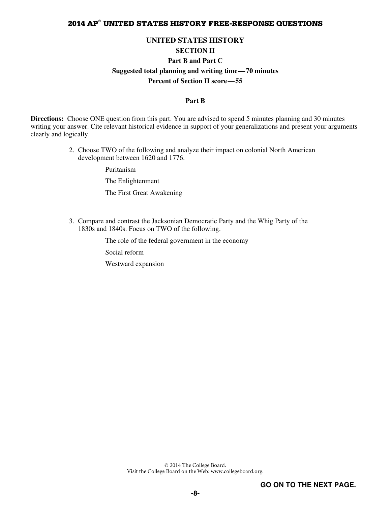#### **UNITED STATES HISTORY**

# **SECTION II**

### **Part B and Part C**

### **Suggested total planning and writing time—70 minutes**

**Percent of Section II score—55** 

#### **Part B**

**Directions:** Choose ONE question from this part. You are advised to spend 5 minutes planning and 30 minutes writing your answer. Cite relevant historical evidence in support of your generalizations and present your arguments clearly and logically.

> 2. Choose TWO of the following and analyze their impact on colonial North American development between 1620 and 1776.

> > Puritanism

The Enlightenment

The First Great Awakening

3. Compare and contrast the Jacksonian Democratic Party and the Whig Party of the 1830s and 1840s. Focus on TWO of the following.

The role of the federal government in the economy

Social reform

Westward expansion